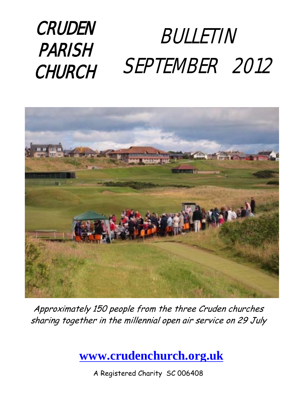### BULLETIN SEPTEMBER 2012 **CRUDEN** PARISH CHURCH



Approximately 150 people from the three Cruden churches sharing together in the millennial open air service on 29 July

**[www.crudenchurch.org.uk](http://www.crudenchurch.org.uk/)**

A Registered Charity SC 006408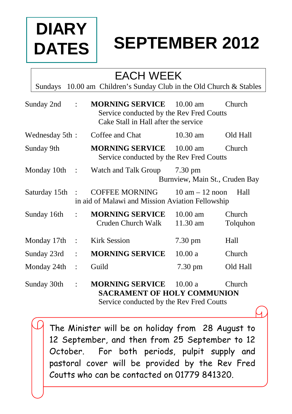# **DIARY DATES**

# **SEPTEMBER 2012**

### EACH WEEK

Sundays 10.00 am Children's Sunday Club in the Old Church & Stables

| Sunday 2nd                 | $\mathcal{L}$    | <b>MORNING SERVICE</b> 10.00 am<br>Service conducted by the Rev Fred Coutts<br>Cake Stall in Hall after the service |                                | Church             |
|----------------------------|------------------|---------------------------------------------------------------------------------------------------------------------|--------------------------------|--------------------|
| Wednesday 5th:             |                  | Coffee and Chat                                                                                                     | $10.30$ am                     | Old Hall           |
| Sunday 9th                 |                  | <b>MORNING SERVICE</b> 10.00 am<br>Service conducted by the Rev Fred Coutts                                         |                                | <b>Church</b>      |
|                            |                  | Monday 10th : Watch and Talk Group 7.30 pm                                                                          | Burnview, Main St., Cruden Bay |                    |
| Saturday 15th :            |                  | COFFEE MORNING $10 \text{ am} - 12 \text{ noon}$<br>in aid of Malawi and Mission Aviation Fellowship                |                                | Hall               |
|                            |                  | Sunday 16th : MORNING SERVICE<br>Cruden Church Walk                                                                 | $10.00$ am<br>$11.30$ am       | Church<br>Tolquhon |
| Monday 17th : Kirk Session |                  |                                                                                                                     | $7.30 \text{ pm}$              | Hall               |
| Sunday 23rd                | $\mathbb{R}^{n}$ | <b>MORNING SERVICE</b>                                                                                              | 10.00a                         | Church             |

Monday 24th : Guild 7.30 pm Old Hall

Sunday 30th : **MORNING SERVICE** 10.00 a Church  **SACRAMENT OF HOLY COMMUNION** Service conducted by the Rev Fred Coutts

> The Minister will be on holiday from 28 August to 12 September, and then from 25 September to 12 October. For both periods, pulpit supply and pastoral cover will be provided by the Rev Fred Coutts who can be contacted on 01779 841320.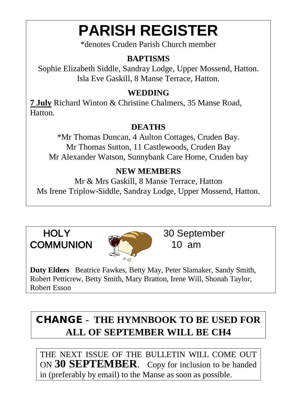# **PARISH REGISTER**

\*denotes Cruden Parish Church member

#### **BAPTISMS**

Sophie Elizabeth Siddle, Sandray Lodge, Upper Mossend, Hatton. Isla Eve Gaskill, 8 Manse Terrace, Hatton.

#### **WEDDING**

**7 July** Richard Winton & Christine Chalmers, 35 Manse Road, **Hatton** 

#### **DEATHS**

\*Mr Thomas Duncan, 4 Aulton Cottages, Cruden Bay. Mr Thomas Sutton, 11 Castlewoods, Cruden Bay Mr Alexander Watson, Sunnybank Care Home, Cruden bay

#### **NEW MEMBERS**

Mr & Mrs Gaskill, 8 Manse Terrace, Hatton Ms Irene Triplow-Siddle, Sandray Lodge, Upper Mossend, Hatton.

# COMMUNION **VALUE** 10 am



HOLY 30 September

**Duty Elders** Beatrice Fawkes, Betty May, Peter Slamaker, Sandy Smith, Robert Petticrew, Betty Smith, Mary Bratton, Irene Will, Shonah Taylor, Robert Esson

### CHANGE **- THE HYMNBOOK TO BE USED FOR ALL OF SEPTEMBER WILL BE CH4**

THE NEXT ISSUE OF THE BULLETIN WILL COME OUT ON **30 SEPTEMBER**. Copy for inclusion to be handed in (preferably by email) to the Manse as soon as possible.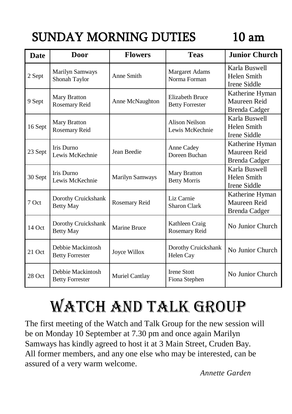## SUNDAY MORNING DUTIES 10 am

| <b>Date</b> | <b>Door</b>                                 | <b>Flowers</b>         | <b>Teas</b>                                      | <b>Junior Church</b>                                    |
|-------------|---------------------------------------------|------------------------|--------------------------------------------------|---------------------------------------------------------|
| 2 Sept      | <b>Marilyn Samways</b><br>Shonah Taylor     | Anne Smith             | Margaret Adams<br>Norma Forman                   | Karla Buswell<br>Helen Smith<br>Irene Siddle            |
| 9 Sept      | Mary Bratton<br>Rosemary Reid               | Anne McNaughton        | <b>Elizabeth Bruce</b><br><b>Betty Forrester</b> | Katherine Hyman<br>Maureen Reid<br>Brenda Cadger        |
| 16 Sept     | Mary Bratton<br>Rosemary Reid               |                        | <b>Alison Neilson</b><br>Lewis McKechnie         | Karla Buswell<br>Helen Smith<br>Irene Siddle            |
| 23 Sept     | Iris Durno<br>Lewis McKechnie               | Jean Beedie            | Anne Cadey<br>Doreen Buchan                      | Katherine Hyman<br>Maureen Reid<br><b>Brenda Cadger</b> |
| 30 Sept     | Iris Durno<br>Lewis McKechnie               | <b>Marilyn Samways</b> | <b>Mary Bratton</b><br><b>Betty Morris</b>       | Karla Buswell<br>Helen Smith<br>Irene Siddle            |
| 7 Oct       | Dorothy Cruickshank<br><b>Betty May</b>     | Rosemary Reid          | Liz Carnie<br><b>Sharon Clark</b>                | Katherine Hyman<br>Maureen Reid<br>Brenda Cadger        |
| $14$ Oct    | Dorothy Cruickshank<br><b>Betty May</b>     | Marine Bruce           | Kathleen Craig<br>Rosemary Reid                  | No Junior Church                                        |
| 21 Oct      | Debbie Mackintosh<br><b>Betty Forrester</b> | Joyce Willox           | Dorothy Cruickshank<br>Helen Cay                 | No Junior Church                                        |
| 28 Oct      | Debbie Mackintosh<br><b>Betty Forrester</b> | Muriel Cantlay         | <b>Irene Stott</b><br>Fiona Stephen              | No Junior Church                                        |

# WATCH AND TALK GROUP

The first meeting of the Watch and Talk Group for the new session will be on Monday 10 September at 7.30 pm and once again Marilyn Samways has kindly agreed to host it at 3 Main Street, Cruden Bay. All former members, and any one else who may be interested, can be assured of a very warm welcome.

*Annette Garden*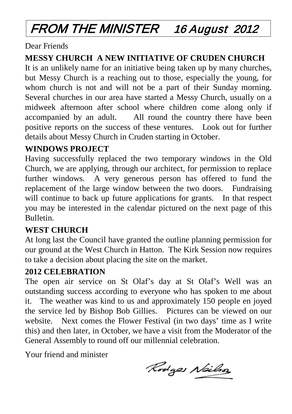## FROM THE MINISTER 16 August 2012

Dear Friends

#### **MESSY CHURCH A NEW INITIATIVE OF CRUDEN CHURCH**

It is an unlikely name for an initiative being taken up by many churches, but Messy Church is a reaching out to those, especially the young, for whom church is not and will not be a part of their Sunday morning. Several churches in our area have started a Messy Church, usually on a midweek afternoon after school where children come along only if accompanied by an adult. All round the country there have been positive reports on the success of these ventures. Look out for further details about Messy Church in Cruden starting in October.

#### **WINDOWS PROJECT**

Having successfully replaced the two temporary windows in the Old Church, we are applying, through our architect, for permission to replace further windows. A very generous person has offered to fund the replacement of the large window between the two doors. Fundraising will continue to back up future applications for grants. In that respect you may be interested in the calendar pictured on the next page of this Bulletin.

#### **WEST CHURCH**

At long last the Council have granted the outline planning permission for our ground at the West Church in Hatton. The Kirk Session now requires to take a decision about placing the site on the market.

#### **2012 CELEBRATION**

The open air service on St Olaf's day at St Olaf's Well was an outstanding success according to everyone who has spoken to me about it. The weather was kind to us and approximately 150 people en joyed the service led by Bishop Bob Gillies. Pictures can be viewed on our website. Next comes the Flower Festival (in two days' time as I write this) and then later, in October, we have a visit from the Moderator of the General Assembly to round off our millennial celebration.

Your friend and minister

Rodges Nailson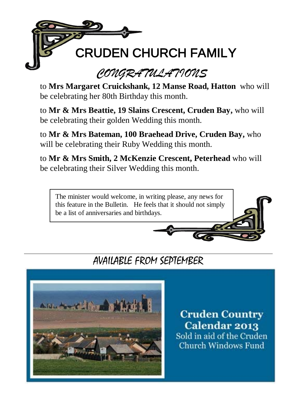

to **Mrs Margaret Cruickshank, 12 Manse Road, Hatton** who will be celebrating her 80th Birthday this month.

to **Mr & Mrs Beattie, 19 Slains Crescent, Cruden Bay,** who will be celebrating their golden Wedding this month.

to **Mr & Mrs Bateman, 100 Braehead Drive, Cruden Bay,** who will be celebrating their Ruby Wedding this month.

to **Mr & Mrs Smith, 2 McKenzie Crescent, Peterhead** who will be celebrating their Silver Wedding this month.

The minister would welcome, in writing please, any news for this feature in the Bulletin. He feels that it should not simply be a list of anniversaries and birthdays.

### AVAILABLE FROM SEPTEMBER



**Cruden Country** Calendar 2013 Sold in aid of the Cruden **Church Windows Fund**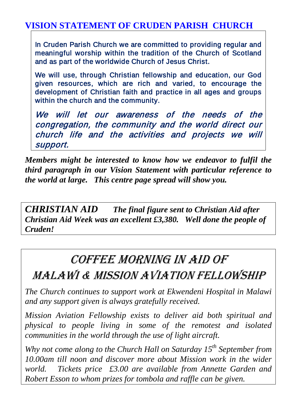#### **VISION STATEMENT OF CRUDEN PARISH CHURCH**

In Cruden Parish Church we are committed to providing regular and meaningful worship within the tradition of the Church of Scotland and as part of the worldwide Church of Jesus Christ.

We will use, through Christian fellowship and education, our God given resources, which are rich and varied, to encourage the development of Christian faith and practice in all ages and groups within the church and the community.

We will let our awareness of the needs of the congregation, the community and the world direct our church life and the activities and projects we will support.

*Members might be interested to know how we endeavor to fulfil the third paragraph in our Vision Statement with particular reference to the world at large. This centre page spread will show you.*

*CHRISTIAN AID The final figure sent to Christian Aid after Christian Aid Week was an excellent £3,380. Well done the people of Cruden!*

### COFFEE MORNING IN AID OF

### MALAWI & MISSION AVIATION FELLOWSHIP

*The Church continues to support work at Ekwendeni Hospital in Malawi and any support given is always gratefully received.*

*Mission Aviation Fellowship exists to deliver aid both spiritual and physical to people living in some of the remotest and isolated communities in the world through the use of light aircraft.*

*Why not come along to the Church Hall on Saturday 15th September from 10.00am till noon and discover more about Mission work in the wider world. Tickets price £3.00 are available from Annette Garden and Robert Esson to whom prizes for tombola and raffle can be given.*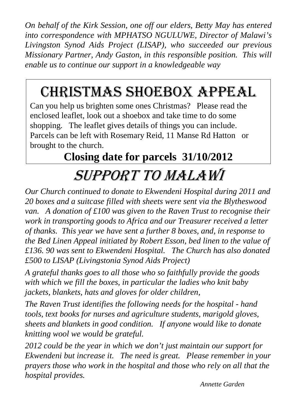*On behalf of the Kirk Session, one off our elders, Betty May has entered into correspondence with MPHATSO NGULUWE, Director of Malawi's Livingston Synod Aids Project (LISAP), who succeeded our previous Missionary Partner, Andy Gaston, in this responsible position. This will enable us to continue our support in a knowledgeable way*

# CHRISTMAS SHOEBOX APPEAL

Can you help us brighten some ones Christmas? Please read the enclosed leaflet, look out a shoebox and take time to do some shopping. The leaflet gives details of things you can include. Parcels can be left with Rosemary Reid, 11 Manse Rd Hatton or brought to the church.

# **Closing date for parcels 31/10/2012**

## Support To Malawi

*Our Church continued to donate to Ekwendeni Hospital during 2011 and 20 boxes and a suitcase filled with sheets were sent via the Blytheswood van. A donation of £100 was given to the Raven Trust to recognise their work in transporting goods to Africa and our Treasurer received a letter of thanks. This year we have sent a further 8 boxes, and, in response to the Bed Linen Appeal initiated by Robert Esson, bed linen to the value of £136. 90 was sent to Ekwendeni Hospital. The Church has also donated £500 to LISAP (Livingstonia Synod Aids Project)*

*A grateful thanks goes to all those who so faithfully provide the goods with which we fill the boxes, in particular the ladies who knit baby jackets, blankets, hats and gloves for older children,*

*The Raven Trust identifies the following needs for the hospital - hand tools, text books for nurses and agriculture students, marigold gloves, sheets and blankets in good condition. If anyone would like to donate knitting wool we would be grateful.*

*2012 could be the year in which we don't just maintain our support for Ekwendeni but increase it. The need is great. Please remember in your prayers those who work in the hospital and those who rely on all that the hospital provides.*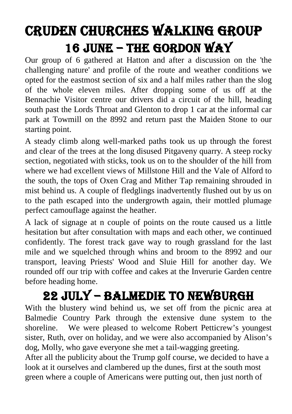## Cruden CHURCHes WALKing group 16 June – THE GORDON WAY

Our group of 6 gathered at Hatton and after a discussion on the 'the challenging nature' and profile of the route and weather conditions we opted for the eastmost section of six and a half miles rather than the slog of the whole eleven miles. After dropping some of us off at the Bennachie Visitor centre our drivers did a circuit of the hill, heading south past the Lords Throat and Glenton to drop 1 car at the informal car park at Towmill on the 8992 and return past the Maiden Stone to our starting point.

A steady climb along well-marked paths took us up through the forest and clear of the trees at the long disused Pitgaveny quarry. A steep rocky section, negotiated with sticks, took us on to the shoulder of the hill from where we had excellent views of Millstone Hill and the Vale of Alford to the south, the tops of Oxen Crag and Mither Tap remaining shrouded in mist behind us. A couple of fledglings inadvertently flushed out by us on to the path escaped into the undergrowth again, their mottled plumage perfect camouflage against the heather.

A lack of signage at n couple of points on the route caused us a little hesitation but after consultation with maps and each other, we continued confidently. The forest track gave way to rough grassland for the last mile and we squelched through whins and broom to the 8992 and our transport, leaving Priests' Wood and Sluie Hill for another day. We rounded off our trip with coffee and cakes at the Inverurie Garden centre before heading home.

### 22 July – balmedie to newburgh

With the blustery wind behind us, we set off from the picnic area at Balmedie Country Park through the extensive dune system to the shoreline. We were pleased to welcome Robert Petticrew's youngest sister, Ruth, over on holiday, and we were also accompanied by Alison's dog, Molly, who gave everyone she met a tail-wagging greeting. After all the publicity about the Trump golf course, we decided to have a look at it ourselves and clambered up the dunes, first at the south most green where a couple of Americans were putting out, then just north of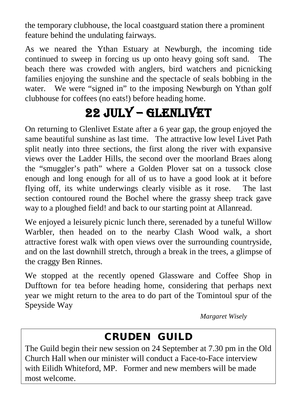the temporary clubhouse, the local coastguard station there a prominent feature behind the undulating fairways.

As we neared the Ythan Estuary at Newburgh, the incoming tide continued to sweep in forcing us up onto heavy going soft sand. The beach there was crowded with anglers, bird watchers and picnicking families enjoying the sunshine and the spectacle of seals bobbing in the water. We were "signed in" to the imposing Newburgh on Ythan golf clubhouse for coffees (no eats!) before heading home.

## 22 July – GLENLIVET

On returning to Glenlivet Estate after a 6 year gap, the group enjoyed the same beautiful sunshine as last time. The attractive low level Livet Path split neatly into three sections, the first along the river with expansive views over the Ladder Hills, the second over the moorland Braes along the "smuggler's path" where a Golden Plover sat on a tussock close enough and long enough for all of us to have a good look at it before flying off, its white underwings clearly visible as it rose. The last section contoured round the Bochel where the grassy sheep track gave way to a ploughed field! and back to our starting point at Allanread.

We enjoyed a leisurely picnic lunch there, serenaded by a tuneful Willow Warbler, then headed on to the nearby Clash Wood walk, a short attractive forest walk with open views over the surrounding countryside, and on the last downhill stretch, through a break in the trees, a glimpse of the craggy Ben Rinnes.

We stopped at the recently opened Glassware and Coffee Shop in Dufftown for tea before heading home, considering that perhaps next year we might return to the area to do part of the Tomintoul spur of the Speyside Way

*Margaret Wisely*

### CRUDEN GUILD

The Guild begin their new session on 24 September at 7.30 pm in the Old Church Hall when our minister will conduct a Face-to-Face interview with Eilidh Whiteford, MP. Former and new members will be made most welcome.